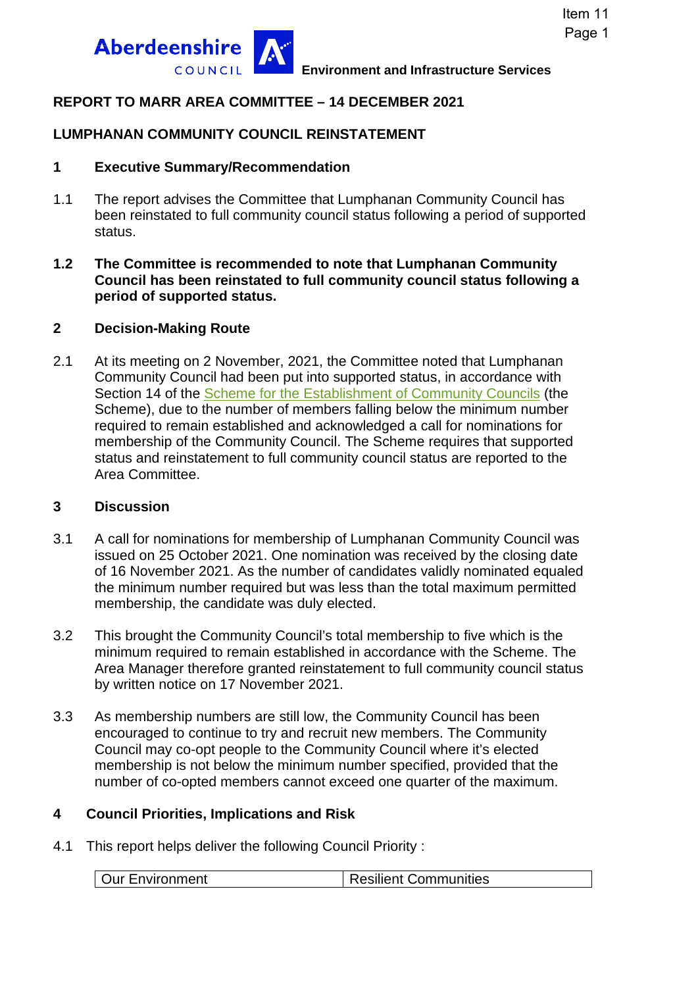

## **REPORT TO MARR AREA COMMITTEE – 14 DECEMBER 2021**

### **LUMPHANAN COMMUNITY COUNCIL REINSTATEMENT**

#### **1 Executive Summary/Recommendation**

- 1.1 The report advises the Committee that Lumphanan Community Council has been reinstated to full community council status following a period of supported status.
- **1.2 The Committee is recommended to note that Lumphanan Community Council has been reinstated to full community council status following a period of supported status.**

#### **2 Decision-Making Route**

2.1 At its meeting on 2 November, 2021, the Committee noted that Lumphanan Community Council had been put into supported status, in accordance with Section 14 of the [Scheme for the Establishment of Community Councils](https://www.aberdeenshire.gov.uk/media/24369/cc-scheme-of-establishment.pdf) (the Scheme), due to the number of members falling below the minimum number required to remain established and acknowledged a call for nominations for membership of the Community Council. The Scheme requires that supported status and reinstatement to full community council status are reported to the Area Committee.

#### **3 Discussion**

- 3.1 A call for nominations for membership of Lumphanan Community Council was issued on 25 October 2021. One nomination was received by the closing date of 16 November 2021. As the number of candidates validly nominated equaled the minimum number required but was less than the total maximum permitted membership, the candidate was duly elected.
- 3.2 This brought the Community Council's total membership to five which is the minimum required to remain established in accordance with the Scheme. The Area Manager therefore granted reinstatement to full community council status by written notice on 17 November 2021.
- 3.3 As membership numbers are still low, the Community Council has been encouraged to continue to try and recruit new members. The Community Council may co-opt people to the Community Council where it's elected membership is not below the minimum number specified, provided that the number of co-opted members cannot exceed one quarter of the maximum.

#### **4 Council Priorities, Implications and Risk**

4.1 This report helps deliver the following Council Priority :

|  | <b>Our Environment</b> | <b>Resilient Communities</b> |
|--|------------------------|------------------------------|
|--|------------------------|------------------------------|